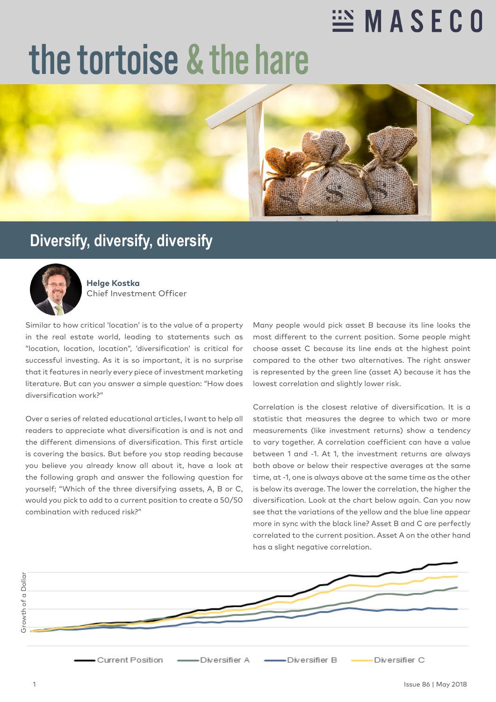## **EX MASECO**

## the tortoise & the hare



## **Diversify, diversify, diversify**



**Helge Kostka** Chief Investment Officer

Similar to how critical 'location' is to the value of a property in the real estate world, leading to statements such as "location, location, location", 'diversification' is critical for successful investing. As it is so important, it is no surprise that it features in nearly every piece of investment marketing literature. But can you answer a simple question: "How does diversification work?"

Over a series of related educational articles, I want to help all readers to appreciate what diversification is and is not and the different dimensions of diversification. This first article is covering the basics. But before you stop reading because you believe you already know all about it, have a look at the following graph and answer the following question for yourself; "Which of the three diversifying assets, A, B or C, would you pick to add to a current position to create a 50/50 combination with reduced risk?"

Many people would pick asset B because its line looks the most different to the current position. Some people might choose asset C because its line ends at the highest point compared to the other two alternatives. The right answer is represented by the green line (asset A) because it has the lowest correlation and slightly lower risk.

Correlation is the closest relative of diversification. It is a statistic that measures the degree to which two or more measurements (like investment returns) show a tendency to vary together. A correlation coefficient can have a value between 1 and -1. At 1, the investment returns are always both above or below their respective averages at the same time, at -1, one is always above at the same time as the other is below its average. The lower the correlation, the higher the diversification. Look at the chart below again. Can you now see that the variations of the yellow and the blue line appear more in sync with the black line? Asset B and C are perfectly correlated to the current position. Asset A on the other hand has a slight negative correlation.

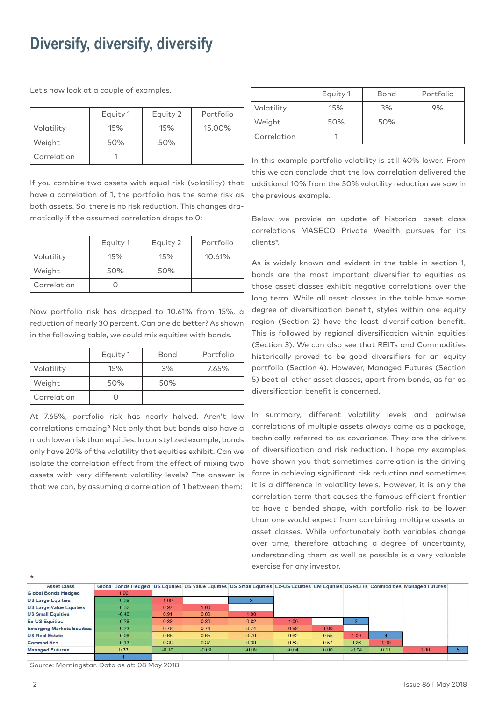## **Diversify, diversify, diversify**

Let's now look at a couple of examples.

|             | Equity 1 | Equity 2 | Portfolio |
|-------------|----------|----------|-----------|
| Volatility  | 15%      | 15%      | 15.00%    |
| Weight      | 50%      | 50%      |           |
| Correlation |          |          |           |

If you combine two assets with equal risk (volatility) that have a correlation of 1, the portfolio has the same risk as both assets. So, there is no risk reduction. This changes dramatically if the assumed correlation drops to 0:

|             | Equity 1 | Equity 2 | Portfolio |
|-------------|----------|----------|-----------|
| Volatility  | 15%      | 15%      | 10.61%    |
| Weight      | 50%      | 50%      |           |
| Correlation |          |          |           |

Now portfolio risk has dropped to 10.61% from 15%, a reduction of nearly 30 percent. Can one do better? As shown in the following table, we could mix equities with bonds.

|             | Equity 1 | Bond | Portfolio |
|-------------|----------|------|-----------|
| Volatility  | 15%      | 3%   | 7.65%     |
| Weight      | 50%      | 50%  |           |
| Correlation |          |      |           |

At 7.65%, portfolio risk has nearly halved. Aren't low correlations amazing? Not only that but bonds also have a much lower risk than equities. In our stylized example, bonds only have 20% of the volatility that equities exhibit. Can we isolate the correlation effect from the effect of mixing two assets with very different volatility levels? The answer is that we can, by assuming a correlation of 1 between them:

|             | Equity 1 | <b>Bond</b> | Portfolio |
|-------------|----------|-------------|-----------|
| Volatility  | 15%      | 3%          | 9%        |
| Weight      | 50%      | 50%         |           |
| Correlation |          |             |           |

In this example portfolio volatility is still 40% lower. From this we can conclude that the low correlation delivered the additional 10% from the 50% volatility reduction we saw in the previous example.

Below we provide an update of historical asset class correlations MASECO Private Wealth pursues for its clients\*.

As is widely known and evident in the table in section 1, bonds are the most important diversifier to equities as those asset classes exhibit negative correlations over the long term. While all asset classes in the table have some degree of diversification benefit, styles within one equity region (Section 2) have the least diversification benefit. This is followed by regional diversification within equities (Section 3). We can also see that REITs and Commodities historically proved to be good diversifiers for an equity portfolio (Section 4). However, Managed Futures (Section 5) beat all other asset classes, apart from bonds, as far as diversification benefit is concerned.

In summary, different volatility levels and pairwise correlations of multiple assets always come as a package, technically referred to as covariance. They are the drivers of diversification and risk reduction. I hope my examples have shown you that sometimes correlation is the driving force in achieving significant risk reduction and sometimes it is a difference in volatility levels. However, it is only the correlation term that causes the famous efficient frontier to have a bended shape, with portfolio risk to be lower than one would expect from combining multiple assets or asset classes. While unfortunately both variables change over time, therefore attaching a degree of uncertainty, understanding them as well as possible is a very valuable exercise for any investor.

| $\star$                          |                                                                                                                                     |         |         |         |         |      |         |      |      |  |
|----------------------------------|-------------------------------------------------------------------------------------------------------------------------------------|---------|---------|---------|---------|------|---------|------|------|--|
| <b>Asset Class</b>               | Global Bonds Hedged US Equities US Value Equities US Small Equities Ex-US Equities EM Equities US REITs Commodities Managed Futures |         |         |         |         |      |         |      |      |  |
| <b>Global Bonds Hedged</b>       | 1.00 <sub>1</sub>                                                                                                                   |         |         |         |         |      |         |      |      |  |
| <b>US Large Equities</b>         | $-0.38$                                                                                                                             | 1.00    |         |         |         |      |         |      |      |  |
| <b>US Large Value Equities</b>   | $-0.32$                                                                                                                             | 0.97    | 1.00    |         |         |      |         |      |      |  |
| <b>US Small Equities</b>         | $-0.40$                                                                                                                             | 0.91    | 0.86    | 1.00    |         |      |         |      |      |  |
| <b>Ex-US Equities</b>            | $-0.28$                                                                                                                             | 0.88    | 0.86    | 0.82    | 1.00    |      |         |      |      |  |
| <b>Emerging Markets Equities</b> | $-0.23$                                                                                                                             | 0.78    | 0.74    | 0.74    | 0.88    | 1.00 |         |      |      |  |
| <b>US Real Estate</b>            | $-0.08$                                                                                                                             | 0.65    | 0.65    | 0.70    | 0.62    | 0.55 | 1.00    |      |      |  |
| <b>Commodities</b>               | $-0.13$                                                                                                                             | 0.38    | 0.37    | 0.38    | 0.53    | 0.57 | 0.26    | 1.00 |      |  |
| <b>Managed Futures</b>           | 0.33                                                                                                                                | $-0.10$ | $-0.09$ | $-0.09$ | $-0.04$ | 0.00 | $-0.04$ | 0.11 | 1.00 |  |
|                                  |                                                                                                                                     |         |         |         |         |      |         |      |      |  |

Source: Morningstar. Data as at: 08 May 2018